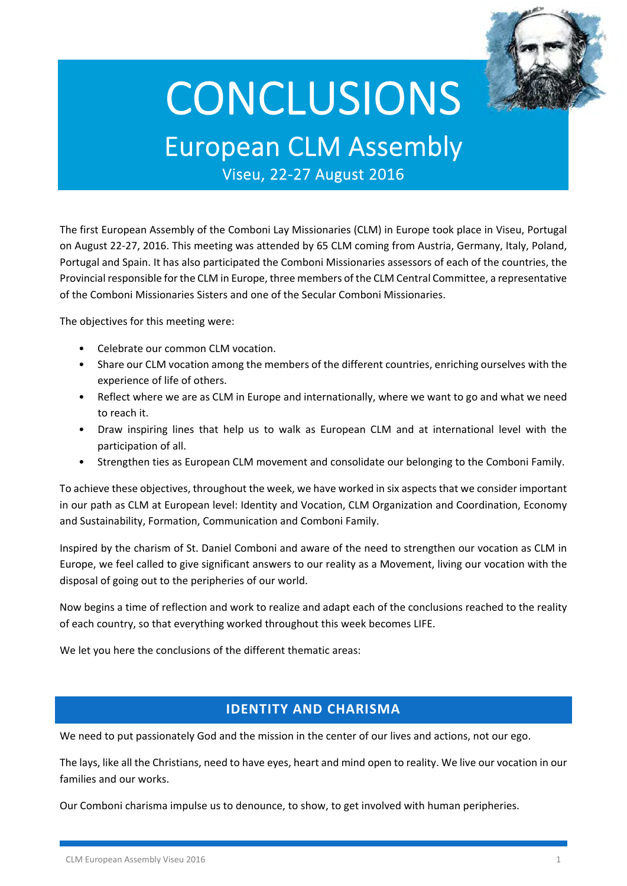

# **CONCLUSIONS**

European CLM Assembly

Viseu, <sup>22</sup>‐<sup>27</sup> August <sup>2016</sup>

The first European Assembly of the Comboni Lay Missionaries (CLM) in Europe took place in Viseu, Portugal on August 22‐27, 2016. This meeting was attended by 65 CLM coming from Austria, Germany, Italy, Poland, Portugal and Spain. It has also participated the Comboni Missionaries assessors of each of the countries, the Provincial responsible for the CLM in Europe, three members of the CLM Central Committee, a representative of the Comboni Missionaries Sisters and one of the Secular Comboni Missionaries.

The objectives for this meeting were:

- Celebrate our common CLM vocation.
- Share our CLM vocation among the members of the different countries, enriching ourselves with the experience of life of others.
- Reflect where we are as CLM in Europe and internationally, where we want to go and what we need to reach it.
- Draw inspiring lines that help us to walk as European CLM and at international level with the participation of all.
- Strengthen ties as European CLM movement and consolidate our belonging to the Comboni Family.

To achieve these objectives, throughout the week, we have worked in six aspects that we consider important in our path as CLM at European level: Identity and Vocation, CLM Organization and Coordination, Economy and Sustainability, Formation, Communication and Comboni Family.

Inspired by the charism of St. Daniel Comboni and aware of the need to strengthen our vocation as CLM in Europe, we feel called to give significant answers to our reality as a Movement, living our vocation with the disposal of going out to the peripheries of our world.

Now begins a time of reflection and work to realize and adapt each of the conclusions reached to the reality of each country, so that everything worked throughout this week becomes LIFE.

We let you here the conclusions of the different thematic areas:

# **IDENTITY AND CHARISMA**

We need to put passionately God and the mission in the center of our lives and actions, not our ego.

The lays, like all the Christians, need to have eyes, heart and mind open to reality. We live our vocation in our families and our works.

Our Comboni charisma impulse us to denounce, to show, to get involved with human peripheries.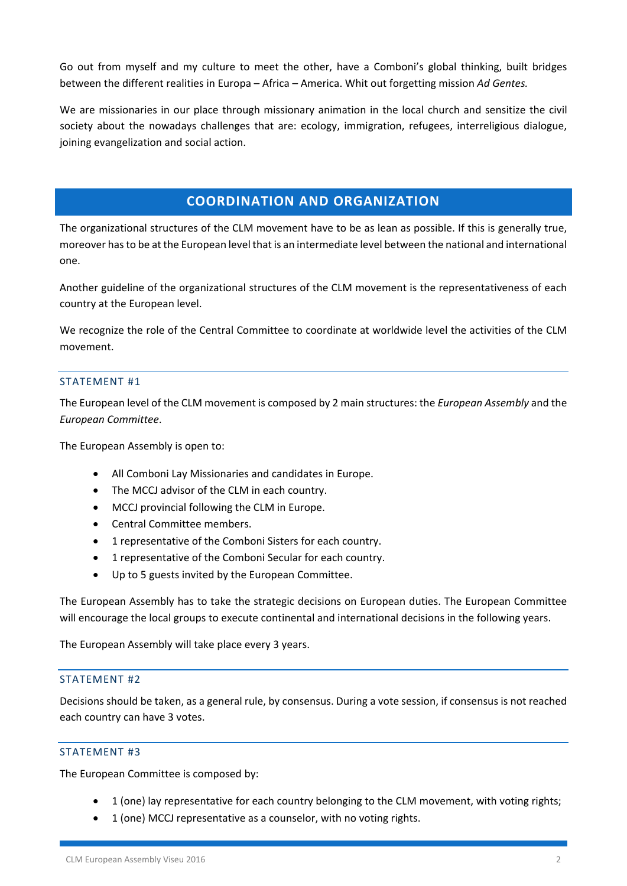Go out from myself and my culture to meet the other, have a Comboni's global thinking, built bridges between the different realities in Europa – Africa – America. Whit out forgetting mission *Ad Gentes.*

We are missionaries in our place through missionary animation in the local church and sensitize the civil society about the nowadays challenges that are: ecology, immigration, refugees, interreligious dialogue, joining evangelization and social action.

# **COORDINATION AND ORGANIZATION**

The organizational structures of the CLM movement have to be as lean as possible. If this is generally true, moreover hasto be at the European level that is an intermediate level between the national and international one.

Another guideline of the organizational structures of the CLM movement is the representativeness of each country at the European level.

We recognize the role of the Central Committee to coordinate at worldwide level the activities of the CLM movement.

# STATEMENT #1

The European level of the CLM movement is composed by 2 main structures: the *European Assembly* and the *European Committee*.

The European Assembly is open to:

- All Comboni Lay Missionaries and candidates in Europe.
- The MCCJ advisor of the CLM in each country.
- MCCJ provincial following the CLM in Europe.
- Central Committee members.
- 1 representative of the Comboni Sisters for each country.
- 1 representative of the Comboni Secular for each country.
- Up to 5 guests invited by the European Committee.

The European Assembly has to take the strategic decisions on European duties. The European Committee will encourage the local groups to execute continental and international decisions in the following years.

The European Assembly will take place every 3 years.

## STATEMENT #2

Decisions should be taken, as a general rule, by consensus. During a vote session, if consensus is not reached each country can have 3 votes.

## STATEMENT #3

The European Committee is composed by:

- 1 (one) lay representative for each country belonging to the CLM movement, with voting rights;
- 1 (one) MCCJ representative as a counselor, with no voting rights.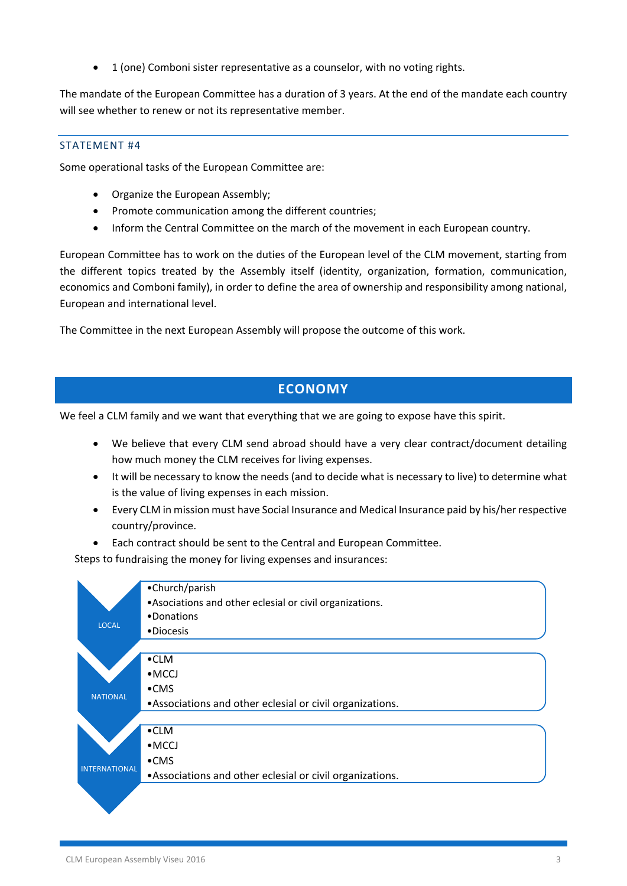1 (one) Comboni sister representative as a counselor, with no voting rights.

The mandate of the European Committee has a duration of 3 years. At the end of the mandate each country will see whether to renew or not its representative member.

#### STATEMENT #4

Some operational tasks of the European Committee are:

- Organize the European Assembly;
- Promote communication among the different countries;
- Inform the Central Committee on the march of the movement in each European country.

European Committee has to work on the duties of the European level of the CLM movement, starting from the different topics treated by the Assembly itself (identity, organization, formation, communication, economics and Comboni family), in order to define the area of ownership and responsibility among national, European and international level.

The Committee in the next European Assembly will propose the outcome of this work.

# **ECONOMY**

We feel a CLM family and we want that everything that we are going to expose have this spirit.

- We believe that every CLM send abroad should have a very clear contract/document detailing how much money the CLM receives for living expenses.
- It will be necessary to know the needs (and to decide what is necessary to live) to determine what is the value of living expenses in each mission.
- Every CLM in mission must have Social Insurance and Medical Insurance paid by his/her respective country/province.
- Each contract should be sent to the Central and European Committee.

Steps to fundraising the money for living expenses and insurances:

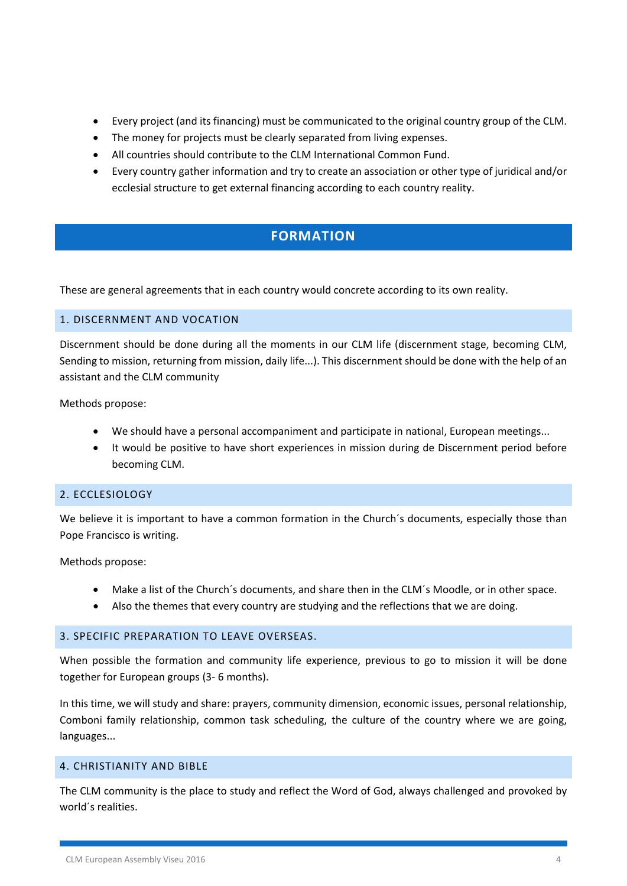- Every project (and its financing) must be communicated to the original country group of the CLM.
- The money for projects must be clearly separated from living expenses.
- All countries should contribute to the CLM International Common Fund.
- Every country gather information and try to create an association or other type of juridical and/or ecclesial structure to get external financing according to each country reality.

# **FORMATION**

These are general agreements that in each country would concrete according to its own reality.

## 1. DISCERNMENT AND VOCATION

Discernment should be done during all the moments in our CLM life (discernment stage, becoming CLM, Sending to mission, returning from mission, daily life...). This discernment should be done with the help of an assistant and the CLM community

Methods propose:

- We should have a personal accompaniment and participate in national, European meetings...
- It would be positive to have short experiences in mission during de Discernment period before becoming CLM.

# 2. ECCLESIOLOGY

We believe it is important to have a common formation in the Church's documents, especially those than Pope Francisco is writing.

Methods propose:

- Make a list of the Church´s documents, and share then in the CLM´s Moodle, or in other space.
- Also the themes that every country are studying and the reflections that we are doing.

## 3. SPECIFIC PREPARATION TO LEAVE OVERSEAS.

When possible the formation and community life experience, previous to go to mission it will be done together for European groups (3‐ 6 months).

In this time, we will study and share: prayers, community dimension, economic issues, personal relationship, Comboni family relationship, common task scheduling, the culture of the country where we are going, languages...

# 4. CHRISTIANITY AND BIBLE

The CLM community is the place to study and reflect the Word of God, always challenged and provoked by world´s realities.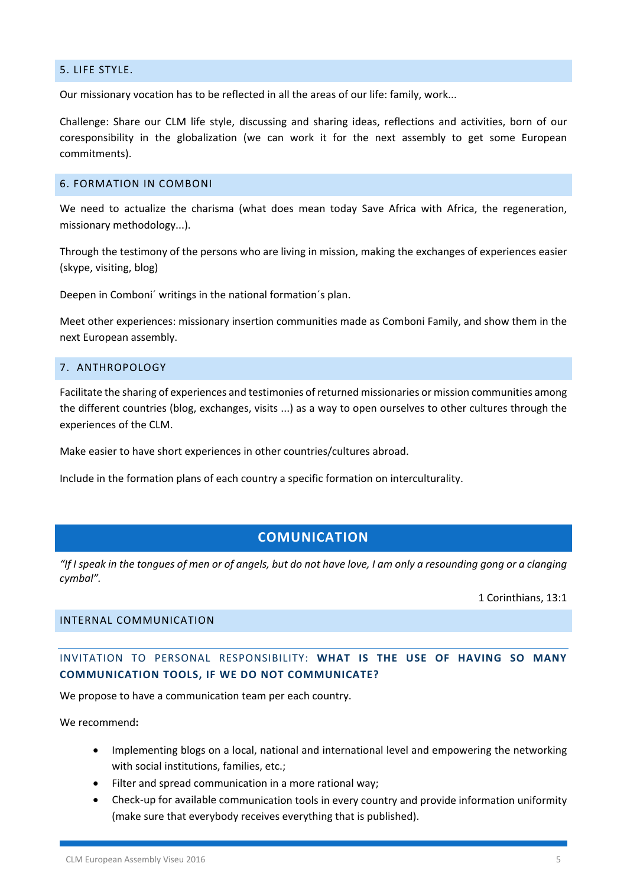## 5. LIFE STYLE.

Our missionary vocation has to be reflected in all the areas of our life: family, work...

Challenge: Share our CLM life style, discussing and sharing ideas, reflections and activities, born of our coresponsibility in the globalization (we can work it for the next assembly to get some European commitments).

# 6. FORMATION IN COMBONI

We need to actualize the charisma (what does mean today Save Africa with Africa, the regeneration, missionary methodology...).

Through the testimony of the persons who are living in mission, making the exchanges of experiences easier (skype, visiting, blog)

Deepen in Comboni´ writings in the national formation´s plan.

Meet other experiences: missionary insertion communities made as Comboni Family, and show them in the next European assembly.

## 7. ANTHROPOLOGY

Facilitate the sharing of experiences and testimonies of returned missionaries or mission communities among the different countries (blog, exchanges, visits ...) as a way to open ourselves to other cultures through the experiences of the CLM.

Make easier to have short experiences in other countries/cultures abroad.

Include in the formation plans of each country a specific formation on interculturality.

# **COMUNICATION**

"If I speak in the tongues of men or of angels, but do not have love, I am only a resounding gong or a clanging *cymbal".*

1 Corinthians, 13:1

## INTERNAL COMMUNICATION

INVITATION TO PERSONAL RESPONSIBILITY: **WHAT IS THE USE OF HAVING SO MANY COMMUNICATION TOOLS, IF WE DO NOT COMMUNICATE?**

We propose to have a communication team per each country.

We recommend**:**

- Implementing blogs on a local, national and international level and empowering the networking with social institutions, families, etc.;
- Filter and spread communication in a more rational way;
- Check‐up for available communication tools in every country and provide information uniformity (make sure that everybody receives everything that is published).